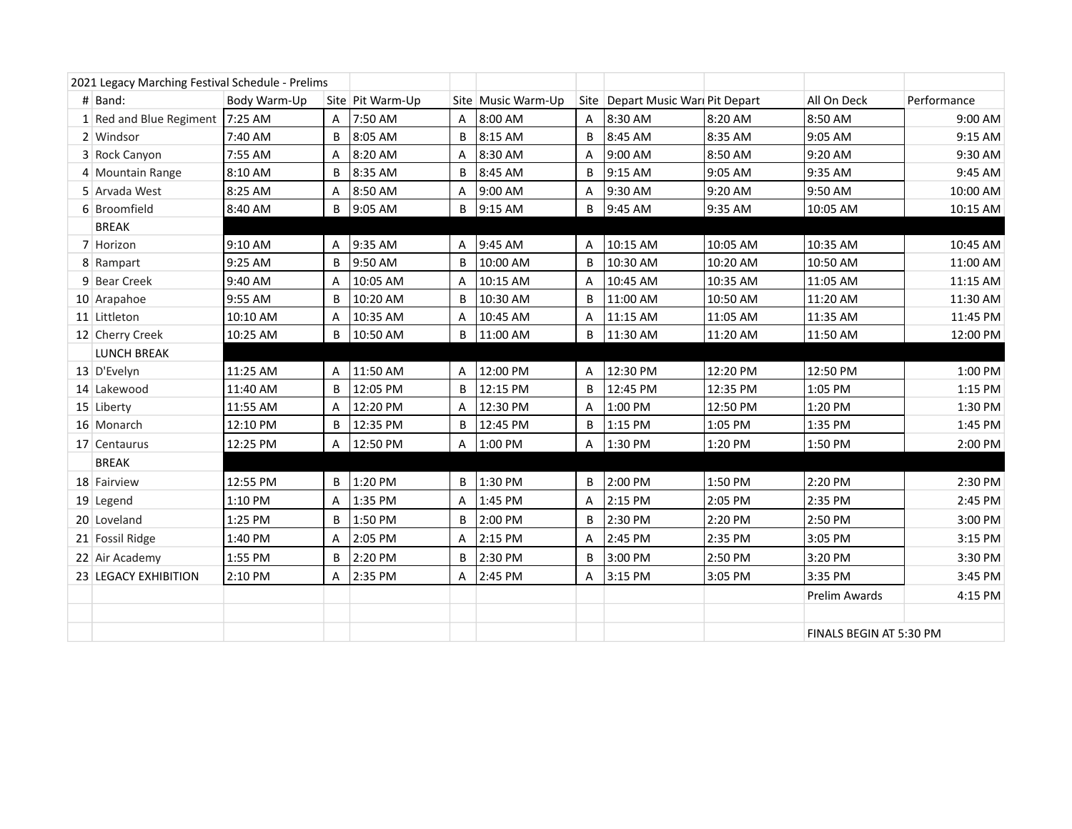| 2021 Legacy Marching Festival Schedule - Prelims |                                 |              |              |                  |   |                    |              |                                     |          |                         |             |
|--------------------------------------------------|---------------------------------|--------------|--------------|------------------|---|--------------------|--------------|-------------------------------------|----------|-------------------------|-------------|
|                                                  | $#$ Band:                       | Body Warm-Up |              | Site Pit Warm-Up |   | Site Music Warm-Up |              | Site   Depart Music Wari Pit Depart |          | All On Deck             | Performance |
|                                                  | 1 Red and Blue Regiment 7:25 AM |              | $\mathsf{A}$ | 7:50 AM          | A | 8:00 AM            | A            | 8:30 AM                             | 8:20 AM  | 8:50 AM                 | 9:00 AM     |
|                                                  | 2 Windsor                       | 7:40 AM      | B            | 8:05 AM          | B | 8:15 AM            | B            | 8:45 AM                             | 8:35 AM  | 9:05 AM                 | 9:15 AM     |
|                                                  | 3 Rock Canyon                   | 7:55 AM      | A            | 8:20 AM          | A | 8:30 AM            | A            | 9:00 AM                             | 8:50 AM  | 9:20 AM                 | 9:30 AM     |
|                                                  | 4 Mountain Range                | 8:10 AM      | B            | 8:35 AM          | B | 8:45 AM            | B            | 9:15 AM                             | 9:05 AM  | 9:35 AM                 | 9:45 AM     |
|                                                  | 5 Arvada West                   | 8:25 AM      | A            | 8:50 AM          | A | 9:00 AM            | A            | 9:30 AM                             | 9:20 AM  | 9:50 AM                 | 10:00 AM    |
|                                                  | 6 Broomfield                    | 8:40 AM      | B            | 9:05 AM          | B | 9:15 AM            | B            | 9:45 AM                             | 9:35 AM  | 10:05 AM                | 10:15 AM    |
|                                                  | <b>BREAK</b>                    |              |              |                  |   |                    |              |                                     |          |                         |             |
|                                                  | 7 Horizon                       | 9:10 AM      | Α            | 9:35 AM          | Α | 9:45 AM            | A            | 10:15 AM                            | 10:05 AM | 10:35 AM                | 10:45 AM    |
|                                                  | 8 Rampart                       | 9:25 AM      | B            | 9:50 AM          | B | 10:00 AM           | B            | 10:30 AM                            | 10:20 AM | 10:50 AM                | 11:00 AM    |
|                                                  | 9 Bear Creek                    | 9:40 AM      | A            | 10:05 AM         | A | 10:15 AM           | A            | 10:45 AM                            | 10:35 AM | 11:05 AM                | 11:15 AM    |
|                                                  | 10 Arapahoe                     | 9:55 AM      | B            | 10:20 AM         | B | 10:30 AM           | B            | 11:00 AM                            | 10:50 AM | 11:20 AM                | 11:30 AM    |
|                                                  | 11 Littleton                    | 10:10 AM     | Α            | 10:35 AM         | Α | 10:45 AM           | A            | 11:15 AM                            | 11:05 AM | 11:35 AM                | 11:45 PM    |
|                                                  | 12 Cherry Creek                 | 10:25 AM     | B            | 10:50 AM         | B | 11:00 AM           | B            | 11:30 AM                            | 11:20 AM | 11:50 AM                | 12:00 PM    |
|                                                  | <b>LUNCH BREAK</b>              |              |              |                  |   |                    |              |                                     |          |                         |             |
|                                                  | 13 D'Evelyn                     | 11:25 AM     | Α            | 11:50 AM         | Α | 12:00 PM           | Α            | 12:30 PM                            | 12:20 PM | 12:50 PM                | 1:00 PM     |
|                                                  | 14 Lakewood                     | 11:40 AM     | B            | 12:05 PM         | B | 12:15 PM           | <sub>B</sub> | 12:45 PM                            | 12:35 PM | 1:05 PM                 | 1:15 PM     |
|                                                  | 15 Liberty                      | 11:55 AM     | A            | 12:20 PM         | A | 12:30 PM           | A            | 1:00 PM                             | 12:50 PM | 1:20 PM                 | 1:30 PM     |
|                                                  | 16 Monarch                      | 12:10 PM     | B            | 12:35 PM         | B | 12:45 PM           | B            | 1:15 PM                             | 1:05 PM  | 1:35 PM                 | 1:45 PM     |
|                                                  | 17 Centaurus                    | 12:25 PM     | A            | 12:50 PM         | A | 1:00 PM            | A            | 1:30 PM                             | 1:20 PM  | 1:50 PM                 | 2:00 PM     |
|                                                  | <b>BREAK</b>                    |              |              |                  |   |                    |              |                                     |          |                         |             |
|                                                  | 18 Fairview                     | 12:55 PM     | B            | 1:20 PM          | B | 1:30 PM            | B            | 2:00 PM                             | 1:50 PM  | 2:20 PM                 | 2:30 PM     |
|                                                  | $19$ Legend                     | 1:10 PM      | A            | 1:35 PM          | A | 1:45 PM            | A            | 2:15 PM                             | 2:05 PM  | 2:35 PM                 | 2:45 PM     |
|                                                  | 20 Loveland                     | 1:25 PM      | B            | 1:50 PM          | B | 2:00 PM            | B            | 2:30 PM                             | 2:20 PM  | 2:50 PM                 | 3:00 PM     |
|                                                  | 21 Fossil Ridge                 | 1:40 PM      | A            | 2:05 PM          | A | 2:15 PM            | A            | 2:45 PM                             | 2:35 PM  | 3:05 PM                 | 3:15 PM     |
|                                                  | 22 Air Academy                  | 1:55 PM      | B            | 2:20 PM          | B | 2:30 PM            | B            | 3:00 PM                             | 2:50 PM  | 3:20 PM                 | 3:30 PM     |
|                                                  | 23 LEGACY EXHIBITION            | 2:10 PM      | A            | 2:35 PM          | A | 2:45 PM            | A            | 3:15 PM                             | 3:05 PM  | 3:35 PM                 | 3:45 PM     |
|                                                  |                                 |              |              |                  |   |                    |              |                                     |          | <b>Prelim Awards</b>    | 4:15 PM     |
|                                                  |                                 |              |              |                  |   |                    |              |                                     |          |                         |             |
|                                                  |                                 |              |              |                  |   |                    |              |                                     |          | FINALS BEGIN AT 5:30 PM |             |